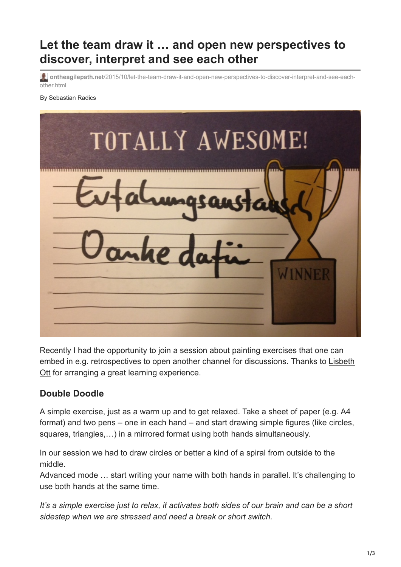# **Let the team draw it … and open new perspectives to discover, interpret and see each other**

**ontheagilepath.net**[/2015/10/let-the-team-draw-it-and-open-new-perspectives-to-discover-interpret-and-see-each](https://www.ontheagilepath.net/2015/10/let-the-team-draw-it-and-open-new-perspectives-to-discover-interpret-and-see-each-other.html)other.html

By Sebastian Radics



Recently I had the opportunity to join a session about painting exercises that one can [embed in e.g. retrospectives to open another channel for discussions. Thanks to Lisbeth](https://www.xing.com/profile/Lisbeth_Ott) Ott for arranging a great learning experience.

# **Double Doodle**

A simple exercise, just as a warm up and to get relaxed. Take a sheet of paper (e.g. A4 format) and two pens – one in each hand – and start drawing simple figures (like circles, squares, triangles,…) in a mirrored format using both hands simultaneously.

In our session we had to draw circles or better a kind of a spiral from outside to the middle.

Advanced mode … start writing your name with both hands in parallel. It's challenging to use both hands at the same time.

*It's a simple exercise just to relax, it activates both sides of our brain and can be a short sidestep when we are stressed and need a break or short switch.*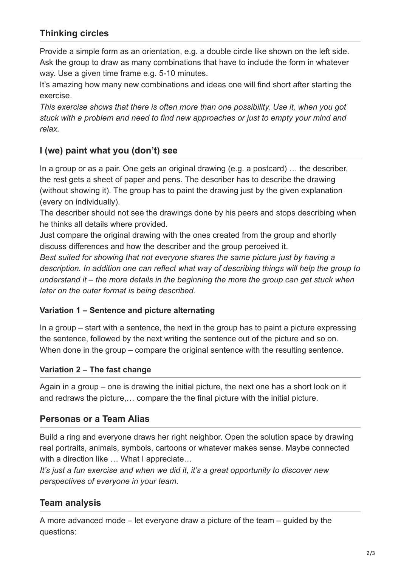# **Thinking circles**

Provide a simple form as an orientation, e.g. a double circle like shown on the left side. Ask the group to draw as many combinations that have to include the form in whatever way. Use a given time frame e.g. 5-10 minutes.

It's amazing how many new combinations and ideas one will find short after starting the exercise.

*This exercise shows that there is often more than one possibility. Use it, when you got stuck with a problem and need to find new approaches or just to empty your mind and relax.*

# **I (we) paint what you (don't) see**

In a group or as a pair. One gets an original drawing (e.g. a postcard) … the describer, the rest gets a sheet of paper and pens. The describer has to describe the drawing (without showing it). The group has to paint the drawing just by the given explanation (every on individually).

The describer should not see the drawings done by his peers and stops describing when he thinks all details where provided.

Just compare the original drawing with the ones created from the group and shortly discuss differences and how the describer and the group perceived it.

*Best suited for showing that not everyone shares the same picture just by having a description. In addition one can reflect what way of describing things will help the group to understand it – the more details in the beginning the more the group can get stuck when later on the outer format is being described.*

#### **Variation 1 – Sentence and picture alternating**

In a group – start with a sentence, the next in the group has to paint a picture expressing the sentence, followed by the next writing the sentence out of the picture and so on. When done in the group – compare the original sentence with the resulting sentence.

#### **Variation 2 – The fast change**

Again in a group – one is drawing the initial picture, the next one has a short look on it and redraws the picture,… compare the the final picture with the initial picture.

# **Personas or a Team Alias**

Build a ring and everyone draws her right neighbor. Open the solution space by drawing real portraits, animals, symbols, cartoons or whatever makes sense. Maybe connected with a direction like ... What I appreciate...

*It's just a fun exercise and when we did it, it's a great opportunity to discover new perspectives of everyone in your team.*

# **Team analysis**

A more advanced mode – let everyone draw a picture of the team – guided by the questions: